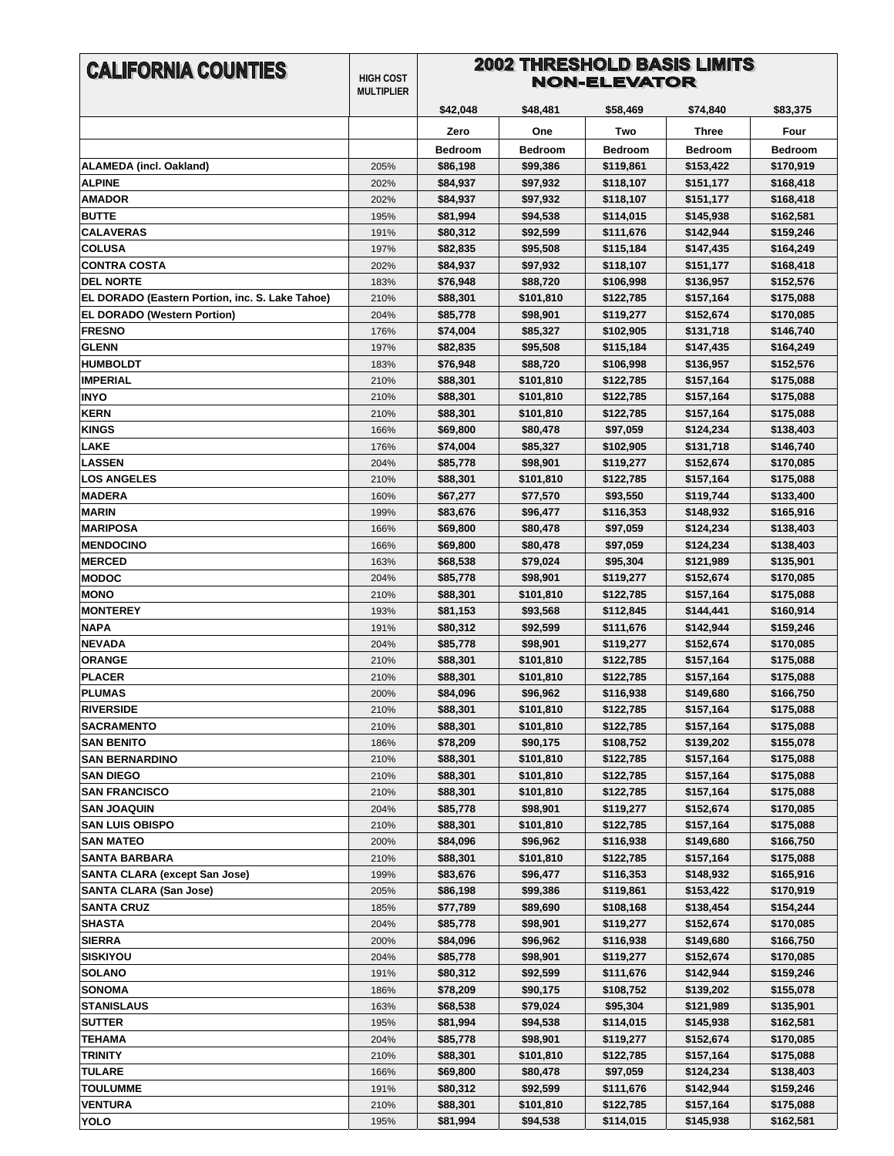| <b>CALIFORNIA COUNTIES</b>                                   | <b>HIGH COST</b><br><b>MULTIPLIER</b> | <b>2002 THRESHOLD BASIS LIMITS</b><br>NON-ELEVATOR |                      |                        |                        |                        |
|--------------------------------------------------------------|---------------------------------------|----------------------------------------------------|----------------------|------------------------|------------------------|------------------------|
|                                                              |                                       | \$42,048                                           | \$48,481             | \$58,469               | \$74,840               | \$83,375               |
|                                                              |                                       | Zero                                               | One                  | Two                    |                        | Four                   |
|                                                              |                                       |                                                    |                      |                        | Three                  |                        |
|                                                              |                                       | <b>Bedroom</b>                                     | <b>Bedroom</b>       | <b>Bedroom</b>         | <b>Bedroom</b>         | <b>Bedroom</b>         |
| ALAMEDA (incl. Oakland)                                      | 205%                                  | \$86,198                                           | \$99,386             | \$119,861              | \$153,422              | \$170,919              |
| <b>ALPINE</b>                                                | 202%                                  | \$84,937                                           | \$97,932             | \$118,107              | \$151,177              | \$168,418              |
| <b>AMADOR</b><br><b>BUTTE</b>                                | 202%<br>195%                          | \$84,937                                           | \$97,932             | \$118,107              | \$151,177<br>\$145,938 | \$168,418<br>\$162,581 |
| <b>CALAVERAS</b>                                             | 191%                                  | \$81,994<br>\$80,312                               | \$94,538<br>\$92,599 | \$114,015<br>\$111,676 | \$142,944              | \$159,246              |
| <b>COLUSA</b>                                                | 197%                                  | \$82,835                                           | \$95,508             | \$115,184              | \$147,435              | \$164,249              |
| <b>CONTRA COSTA</b>                                          | 202%                                  | \$84,937                                           | \$97,932             | \$118,107              | \$151,177              | \$168,418              |
| <b>DEL NORTE</b>                                             | 183%                                  | \$76,948                                           | \$88,720             | \$106,998              | \$136,957              | \$152,576              |
| EL DORADO (Eastern Portion, inc. S. Lake Tahoe)              | 210%                                  | \$88,301                                           | \$101,810            | \$122,785              | \$157,164              | \$175,088              |
| <b>EL DORADO (Western Portion)</b>                           | 204%                                  | \$85,778                                           | \$98,901             | \$119,277              | \$152,674              | \$170,085              |
| <b>FRESNO</b>                                                | 176%                                  | \$74,004                                           | \$85,327             | \$102,905              | \$131,718              | \$146,740              |
| <b>GLENN</b>                                                 | 197%                                  | \$82,835                                           | \$95,508             | \$115,184              | \$147,435              | \$164,249              |
| <b>HUMBOLDT</b>                                              | 183%                                  | \$76,948                                           | \$88,720             | \$106,998              | \$136,957              | \$152,576              |
| <b>IMPERIAL</b>                                              | 210%                                  | \$88,301                                           | \$101,810            | \$122,785              | \$157,164              | \$175,088              |
| <b>INYO</b>                                                  | 210%                                  | \$88,301                                           | \$101,810            | \$122,785              | \$157,164              | \$175,088              |
| <b>KERN</b>                                                  | 210%                                  | \$88,301                                           | \$101,810            | \$122,785              | \$157,164              | \$175,088              |
| <b>KINGS</b>                                                 | 166%                                  | \$69,800                                           | \$80,478             | \$97,059               | \$124,234              | \$138,403              |
| <b>LAKE</b>                                                  | 176%                                  | \$74,004                                           | \$85,327             | \$102,905              | \$131,718              | \$146,740              |
| <b>LASSEN</b>                                                | 204%                                  | \$85,778                                           | \$98,901             | \$119,277              | \$152,674              | \$170,085              |
| <b>LOS ANGELES</b>                                           | 210%                                  | \$88,301                                           | \$101,810            | \$122,785              | \$157,164              | \$175,088              |
| <b>MADERA</b>                                                | 160%                                  | \$67,277                                           | \$77,570             | \$93,550               | \$119,744              | \$133,400              |
| <b>MARIN</b>                                                 | 199%                                  | \$83,676                                           | \$96,477             | \$116,353              | \$148,932              | \$165,916              |
| <b>MARIPOSA</b>                                              | 166%                                  | \$69,800                                           | \$80,478             | \$97,059               | \$124,234              | \$138,403              |
| <b>MENDOCINO</b>                                             | 166%                                  | \$69,800                                           | \$80,478             | \$97,059               | \$124,234              | \$138,403              |
| <b>MERCED</b>                                                | 163%                                  | \$68,538                                           | \$79,024             | \$95,304               | \$121,989              | \$135,901              |
| <b>MODOC</b>                                                 | 204%                                  | \$85,778                                           | \$98,901             | \$119,277              | \$152,674              | \$170,085              |
| <b>MONO</b>                                                  | 210%                                  | \$88,301                                           | \$101,810            | \$122,785              | \$157,164              | \$175,088              |
| <b>MONTEREY</b>                                              | 193%                                  | \$81,153                                           | \$93,568             | \$112,845              | \$144,441              | \$160,914              |
| <b>NAPA</b>                                                  | 191%                                  | \$80,312                                           | \$92,599             | \$111,676              | \$142,944              | \$159,246              |
| <b>NEVADA</b>                                                | 204%                                  | \$85,778                                           | \$98,901             | \$119,277              | \$152,674              | \$170,085              |
| <b>ORANGE</b>                                                | 210%                                  | \$88,301                                           | \$101,810            | \$122,785              | \$157,164              | \$175,088              |
| <b>PLACER</b>                                                | 210%                                  | \$88,301                                           | \$101,810            | \$122,785              | \$157,164              | \$175,088              |
| <b>PLUMAS</b>                                                | 200%                                  | \$84,096                                           | \$96,962             | \$116,938              | \$149,680              | \$166,750              |
| <b>RIVERSIDE</b>                                             | 210%                                  | \$88,301                                           | \$101,810            | \$122,785              | \$157,164              | \$175,088              |
| <b>SACRAMENTO</b>                                            | 210%                                  | \$88,301                                           | \$101,810            | \$122,785              | \$157,164              | \$175,088              |
| <b>SAN BENITO</b>                                            | 186%                                  | \$78,209                                           | \$90,175             | \$108,752              | \$139,202              | \$155,078              |
| <b>SAN BERNARDINO</b>                                        | 210%                                  | \$88,301                                           | \$101,810            | \$122,785              | \$157,164              | \$175,088              |
| <b>SAN DIEGO</b>                                             | 210%                                  | \$88,301                                           | \$101,810            | \$122,785              | \$157,164              | \$175,088              |
| <b>SAN FRANCISCO</b>                                         | 210%                                  | \$88,301                                           | \$101,810            | \$122,785              | \$157,164              | \$175,088              |
| <b>SAN JOAQUIN</b>                                           | 204%                                  | \$85,778                                           | \$98,901             | \$119,277              | \$152,674              | \$170,085              |
| <b>SAN LUIS OBISPO</b>                                       | 210%                                  | \$88,301                                           | \$101,810            | \$122,785              | \$157,164              | \$175,088              |
| <b>SAN MATEO</b>                                             | 200%                                  | \$84,096                                           | \$96,962             | \$116,938              | \$149,680              | \$166,750              |
| <b>SANTA BARBARA</b><br><b>SANTA CLARA (except San Jose)</b> | 210%                                  | \$88,301                                           | \$101,810            | \$122,785              | \$157,164              | \$175,088              |
| <b>SANTA CLARA (San Jose)</b>                                | 199%                                  | \$83,676                                           | \$96,477             | \$116,353              | \$148,932              | \$165,916              |
| <b>SANTA CRUZ</b>                                            | 205%<br>185%                          | \$86,198<br>\$77,789                               | \$99,386<br>\$89,690 | \$119,861<br>\$108,168 | \$153,422<br>\$138,454 | \$170,919<br>\$154,244 |
| <b>SHASTA</b>                                                | 204%                                  | \$85,778                                           | \$98,901             | \$119,277              | \$152,674              | \$170,085              |
| <b>SIERRA</b>                                                | 200%                                  | \$84,096                                           | \$96,962             | \$116,938              | \$149,680              | \$166,750              |
| <b>SISKIYOU</b>                                              | 204%                                  | \$85,778                                           | \$98,901             | \$119,277              | \$152,674              | \$170,085              |
| <b>SOLANO</b>                                                | 191%                                  | \$80,312                                           | \$92,599             | \$111,676              | \$142,944              | \$159,246              |
| <b>SONOMA</b>                                                | 186%                                  | \$78,209                                           | \$90,175             | \$108,752              | \$139,202              | \$155,078              |
| <b>STANISLAUS</b>                                            | 163%                                  | \$68,538                                           | \$79,024             | \$95,304               | \$121,989              | \$135,901              |
| <b>SUTTER</b>                                                | 195%                                  | \$81,994                                           | \$94,538             | \$114,015              | \$145,938              | \$162,581              |
| <b>TEHAMA</b>                                                | 204%                                  | \$85,778                                           | \$98,901             | \$119,277              | \$152,674              | \$170,085              |
| <b>TRINITY</b>                                               | 210%                                  | \$88,301                                           | \$101,810            | \$122,785              | \$157,164              | \$175,088              |
| <b>TULARE</b>                                                | 166%                                  | \$69,800                                           | \$80,478             | \$97,059               | \$124,234              | \$138,403              |
| <b>TOULUMME</b>                                              | 191%                                  | \$80,312                                           | \$92,599             | \$111,676              | \$142,944              | \$159,246              |
| <b>VENTURA</b>                                               | 210%                                  | \$88,301                                           | \$101,810            | \$122,785              | \$157,164              | \$175,088              |
| YOLO                                                         | 195%                                  | \$81,994                                           | \$94,538             | \$114,015              | \$145,938              | \$162,581              |